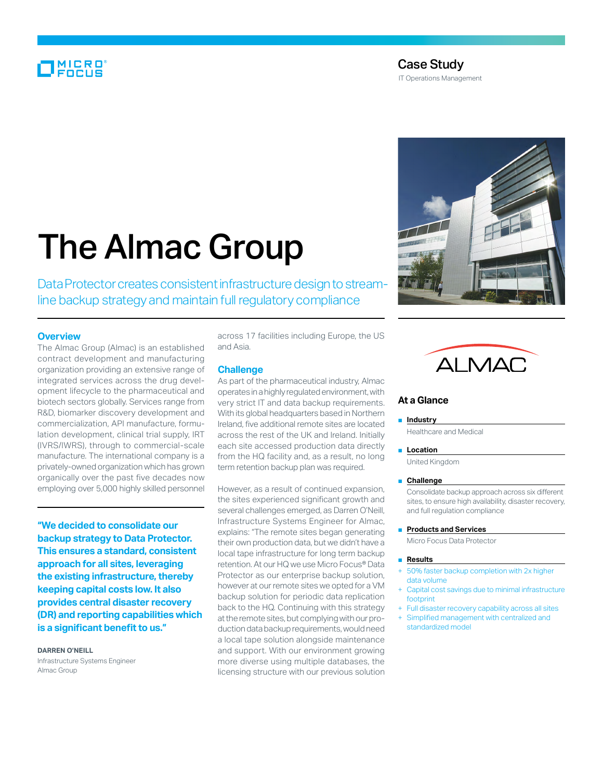# MICRO<br>Encus

## Case Study

IT Operations Management

# The Almac Group

Data Protector creates consistent infrastructure design to streamline backup strategy and maintain full regulatory compliance

#### **Overview**

The Almac Group (Almac) is an established contract development and manufacturing organization providing an extensive range of integrated services across the drug development lifecycle to the pharmaceutical and biotech sectors globally. Services range from R&D, biomarker discovery development and commercialization, API manufacture, formulation development, clinical trial supply, IRT (IVRS/IWRS), through to commercial-scale manufacture. The international company is a privately-owned organization which has grown organically over the past five decades now employing over 5,000 highly skilled personnel

**"We decided to consolidate our backup strategy to Data Protector. This ensures a standard, consistent approach for all sites, leveraging the existing infrastructure, thereby keeping capital costs low. It also provides central disaster recovery (DR) and reporting capabilities which is a significant benefit to us."**

#### **Darren O'Neill**

Infrastructure Systems Engineer Almac Group

across 17 facilities including Europe, the US and Asia.

#### **Challenge**

As part of the pharmaceutical industry, Almac operates in a highly regulated environment, with very strict IT and data backup requirements. With its global headquarters based in Northern Ireland, five additional remote sites are located across the rest of the UK and Ireland. Initially each site accessed production data directly from the HQ facility and, as a result, no long term retention backup plan was required.

However, as a result of continued expansion, the sites experienced significant growth and several challenges emerged, as Darren O'Neill, Infrastructure Systems Engineer for Almac, explains: "The remote sites began generating their own production data, but we didn't have a local tape infrastructure for long term backup retention. At our HQ we use Micro Focus® Data Protector as our enterprise backup solution, however at our remote sites we opted for a VM backup solution for periodic data replication back to the HQ. Continuing with this strategy at the remote sites, but complying with our production data backup requirements, would need a local tape solution alongside maintenance and support. With our environment growing more diverse using multiple databases, the licensing structure with our previous solution





### **At a Glance**

#### ■ **Industry**

Healthcare and Medical

#### ■ **Location**

United Kingdom

#### ■ **Challenge**

Consolidate backup approach across six different sites, to ensure high availability, disaster recovery, and full regulation compliance

#### ■ **Products and Services**

Micro Focus Data Protector

#### ■ **Results**

- + 50% faster backup completion with 2x higher data volume
- Capital cost savings due to minimal infrastructure footprint
- + Full disaster recovery capability across all sites
- Simplified management with centralized and standardized model